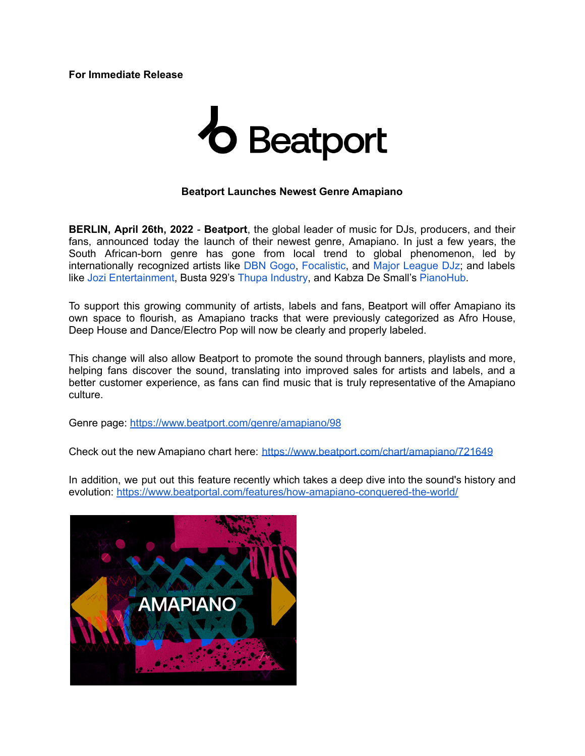**For Immediate Release**

## **b** Beatport

## **Beatport Launches Newest Genre Amapiano**

**BERLIN, April 26th, 2022** - **Beatport**, the global leader of music for DJs, producers, and their fans, announced today the launch of their newest genre, Amapiano. In just a few years, the South African-born genre has gone from local trend to global phenomenon, led by internationally recognized artists like DBN [Gogo](https://www.beatport.com/artist/dbn-gogo/943440), [Focalistic,](https://www.beatport.com/artist/focalistic/801982) and Major [League](https://www.beatport.com/artist/major-league-djz/893618) DJz; and labels like Jozi [Entertainment,](https://www.beatport.com/label/jozi-entertainment/100337) Busta 929's Thupa [Industry](https://www.beatport.com/label/thupa-industry/99270), and Kabza De Small's [PianoHub.](https://www.beatport.com/label/piano-hub-pty-ltd/74935)

To support this growing community of artists, labels and fans, Beatport will offer Amapiano its own space to flourish, as Amapiano tracks that were previously categorized as Afro House, Deep House and Dance/Electro Pop will now be clearly and properly labeled.

This change will also allow Beatport to promote the sound through banners, playlists and more, helping fans discover the sound, translating into improved sales for artists and labels, and a better customer experience, as fans can find music that is truly representative of the Amapiano culture.

Genre page: <https://www.beatport.com/genre/amapiano/98>

Check out the new Amapiano chart here: <https://www.beatport.com/chart/amapiano/721649>

In addition, we put out this feature recently which takes a deep dive into the sound's history and evolution: <https://www.beatportal.com/features/how-amapiano-conquered-the-world/>